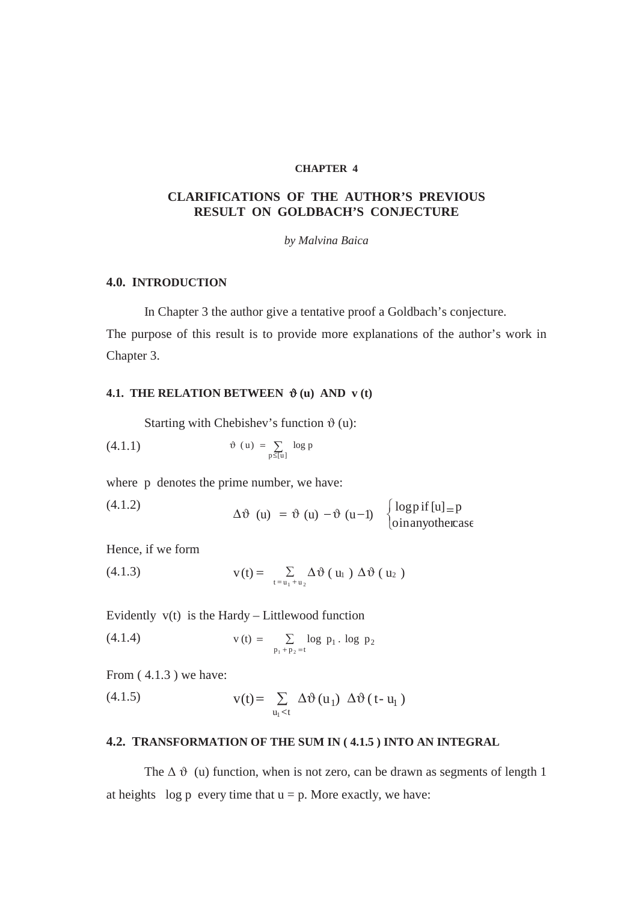#### **CHAPTER 4**

## **CLARIFICATIONS OF THE AUTHOR'S PREVIOUS RESULT ON GOLDBACH'S CONJECTURE**

*by Malvina Baica* 

### **4.0. INTRODUCTION**

In Chapter 3 the author give a tentative proof a Goldbach's conjecture.

The purpose of this result is to provide more explanations of the author's work in Chapter 3.

### **4.1. THE RELATION BETWEEN**  $\vartheta$  **(u) AND v (t)**

Starting with Chebishev's function  $\vartheta$  (u):

$$
\vartheta(u) = \sum_{p \le [u]} \log p
$$

where p denotes the prime number, we have:

(4.1.2) 
$$
\Delta \vartheta \text{ (u) } = \vartheta \text{ (u) } -\vartheta \text{ (u-1) } \begin{cases} \text{logpi}[\text{u}] = p \\ \text{oinanyotherase} \end{cases}
$$

Hence, if we form

(4.1.3) 
$$
v(t) = \sum_{t=u_1+u_2} \Delta \vartheta (u_1) \Delta \vartheta (u_2)
$$

Evidently  $v(t)$  is the Hardy – Littlewood function

(4.1.4) 
$$
v(t) = \sum_{p_1 + p_2 = t} \log p_1 \cdot \log p_2
$$

From  $(4.1.3)$  we have:

 $\sum$  $\prec$  $= \sum \Delta \vartheta(u_1) \Delta \vartheta$  $u_1 < t$  $1$   $\Delta$   $\sigma$  (  $\mu$   $\mu$ <sub>1</sub>  $\mathbf{1}$  $v(t) = \sum \Delta \vartheta (u_1) \Delta \vartheta (t - u_1)$  $(4.1.5)$ 

### **4.2. TRANSFORMATION OF THE SUM IN ( 4.1.5 ) INTO AN INTEGRAL**

The  $\Delta \vartheta$  (u) function, when is not zero, can be drawn as segments of length 1 at heights log p every time that  $u = p$ . More exactly, we have: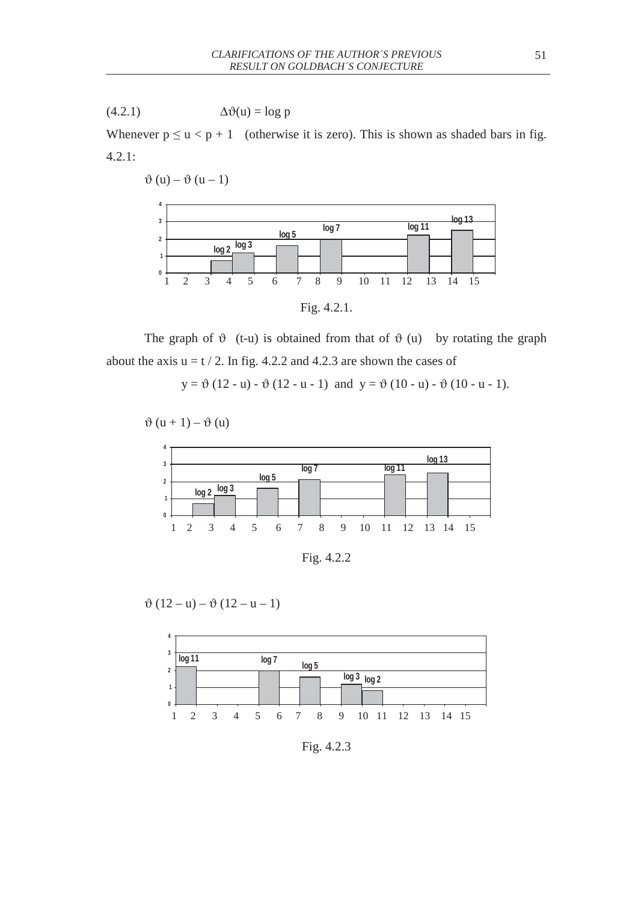$$
(4.2.1) \qquad \Delta \vartheta(\mathbf{u}) = \log \mathbf{p}
$$

Whenever  $p \le u < p + 1$  (otherwise it is zero). This is shown as shaded bars in fig. 4.2.1:



The graph of  $\vartheta$  (t-u) is obtained from that of  $\vartheta$  (u) by rotating the graph about the axis  $u = t / 2$ . In fig. 4.2.2 and 4.2.3 are shown the cases of

 $y = \vartheta (12 - u) - \vartheta (12 - u - 1)$  and  $y = \vartheta (10 - u) - \vartheta (10 - u - 1)$ .

 $\vartheta$  (u + 1) –  $\vartheta$  (u)



Fig. 4.2.2

 $\vartheta(12-u) - \vartheta(12-u-1)$ 



Fig. 4.2.3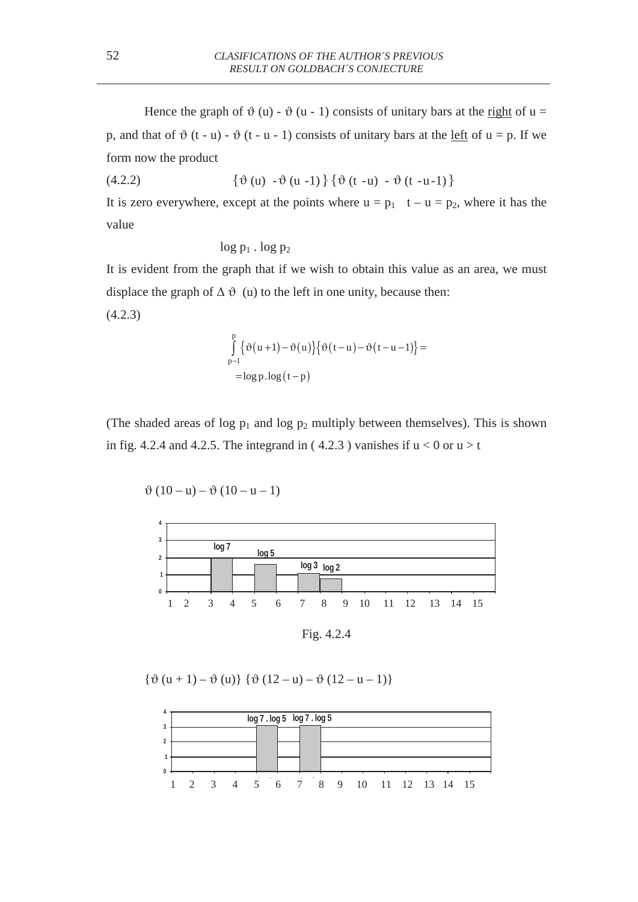Hence the graph of  $\vartheta$  (u) -  $\vartheta$  (u - 1) consists of unitary bars at the right of u = p, and that of  $\vartheta$  (t - u) -  $\vartheta$  (t - u - 1) consists of unitary bars at the left of u = p. If we form now the product

$$
(4.2.2) \qquad \qquad \{ \vartheta \text{ (u) - } \vartheta \text{ (u -1)} \} \{ \vartheta \text{ (t -u) - } \vartheta \text{ (t -u -1)} \}
$$

It is zero everywhere, except at the points where  $u = p_1$  t –  $u = p_2$ , where it has the value

 $log p_1$ .  $log p_2$ 

It is evident from the graph that if we wish to obtain this value as an area, we must displace the graph of  $\Delta \vartheta$  (u) to the left in one unity, because then: (4.2.3)

$$
\int_{p-1}^{p} {\{\vartheta(u+1) - \vartheta(u)\}\{\vartheta(t-u) - \vartheta(t-u-1)\} = \text{log } p \cdot \log (t-p)}
$$

(The shaded areas of log  $p_1$  and log  $p_2$  multiply between themselves). This is shown in fig. 4.2.4 and 4.2.5. The integrand in (4.2.3) vanishes if  $u < 0$  or  $u > t$ 

$$
\vartheta(10-u) - \vartheta(10-u-1)
$$



Fig. 4.2.4

$$
\{\vartheta(u+1) - \vartheta(u)\}\{\vartheta(12-u) - \vartheta(12-u-1)\}\
$$

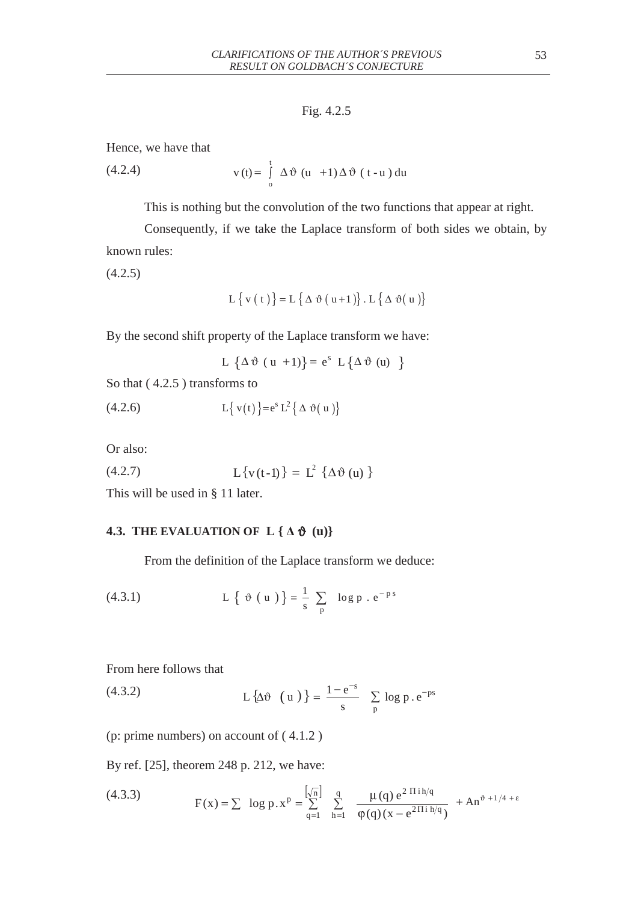### Fig. 4.2.5

Hence, we have that

(4.2.4) 
$$
v(t) = \int_{0}^{t} \Delta \vartheta (u + 1) \Delta \vartheta (t - u) du
$$

This is nothing but the convolution of the two functions that appear at right.

Consequently, if we take the Laplace transform of both sides we obtain, by known rules:

(4.2.5)

$$
L\left\{ v(t)\right\} = L\left\{ \Delta \vartheta \left( u+1\right) \right\} . L\left\{ \Delta \vartheta \left( u\right) \right\}
$$

By the second shift property of the Laplace transform we have:

$$
L \{\Delta \vartheta (u + 1)\} = e^s \ L \{\Delta \vartheta (u) \}
$$

So that ( 4.2.5 ) transforms to

(4.2.6) 
$$
L\{v(t)\} = e^s L^2 \{\Delta \vartheta(u)\}
$$

Or also:

(4.2.7) 
$$
L\{v(t-1)\} = L^2 \{\Delta \vartheta(u)\}
$$

This will be used in § 11 later.

### **4.3. THE EVALUATION OF L {** $\Delta \vartheta$  **(u)}**

From the definition of the Laplace transform we deduce:

(4.3.1) 
$$
L \{ \vartheta (u) \} = \frac{1}{s} \sum_{p} \log p \cdot e^{-ps}
$$

From here follows that

(4.3.2) 
$$
L \{\Delta \vartheta (u) \} = \frac{1 - e^{-s}}{s} \sum_{p} \log p \cdot e^{-ps}
$$

(p: prime numbers) on account of ( 4.1.2 )

By ref. [25], theorem 248 p. 212, we have:

(4.3.3) 
$$
F(x) = \sum \log p.x^{p} = \sum_{q=1}^{\lfloor \sqrt{n} \rfloor} \sum_{h=1}^{q} \frac{\mu(q) e^{2 \pi i h/q}}{\phi(q) (x - e^{2 \pi i h/q})} + A n^{\vartheta + 1/4 + \varepsilon}
$$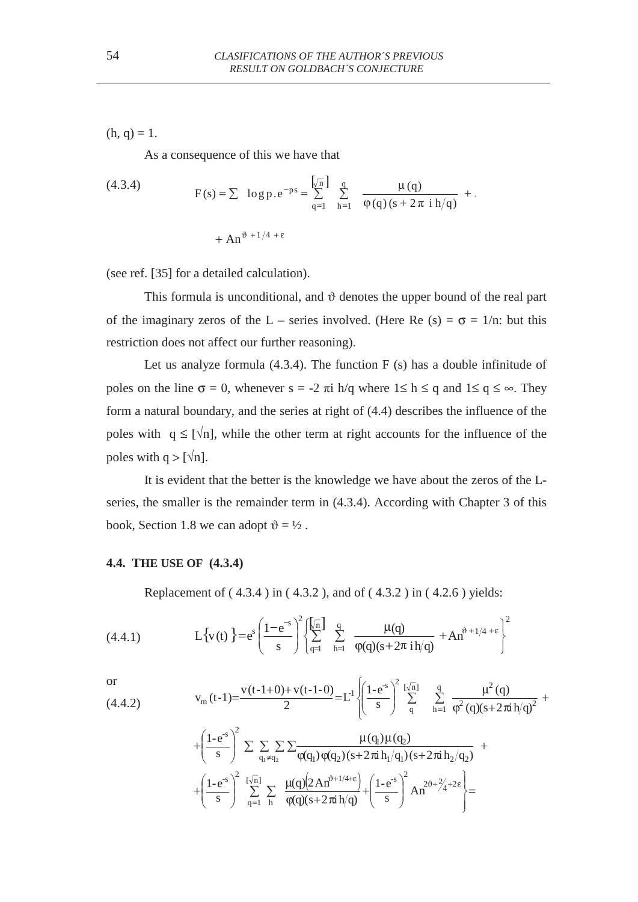$(h, q) = 1.$ 

As a consequence of this we have that

(4.3.4) 
$$
F(s) = \sum \log p \cdot e^{-ps} = \sum_{q=1}^{\sqrt{n}} \sum_{h=1}^{q} \frac{\mu(q)}{\varphi(q)(s + 2\pi i h/q)} + An^{\vartheta + 1/4 + \varepsilon}
$$

(see ref. [35] for a detailed calculation).

This formula is unconditional, and  $\vartheta$  denotes the upper bound of the real part of the imaginary zeros of the L – series involved. (Here Re (s) =  $\sigma$  = 1/n: but this restriction does not affect our further reasoning).

Let us analyze formula  $(4.3.4)$ . The function F  $(s)$  has a double infinitude of poles on the line  $\sigma = 0$ , whenever  $s = -2 \pi i h/q$  where  $1 \le h \le q$  and  $1 \le q \le \infty$ . They form a natural boundary, and the series at right of (4.4) describes the influence of the poles with  $q \leq \lceil \sqrt{n} \rceil$ , while the other term at right accounts for the influence of the poles with  $q > \lceil \sqrt{n} \rceil$ .

It is evident that the better is the knowledge we have about the zeros of the Lseries, the smaller is the remainder term in (4.3.4). According with Chapter 3 of this book, Section 1.8 we can adopt  $\vartheta = \frac{1}{2}$ .

### **4.4. THE USE OF (4.3.4)**

Replacement of ( 4.3.4 ) in ( 4.3.2 ), and of ( 4.3.2 ) in ( 4.2.6 ) yields:

(4.4.1) 
$$
L\{v(t)\} = e^{s} \left(\frac{1-e^{-s}}{s}\right)^{2} \left\{\sum_{q=1}^{\sqrt[n]{n}} \sum_{h=1}^{q} \frac{\mu(q)}{\phi(q)(s+2\pi i h/q)} + An^{0+1/4+\epsilon}\right\}^{2}
$$

or

or  
(4.4.2) 
$$
v_{m}(t-1)=\frac{v(t-1+0)+v(t-1-0)}{2}=L^{1}\left\{\left(\frac{1-e^{-s}}{s}\right)^{2}\begin{bmatrix}\sqrt{n}\end{bmatrix} \begin{matrix}q & \mu^{2}(q) \\ \frac{1}{2} & \frac{1}{2} \end{matrix}\right\} + \frac{v_{m}(t-1)e^{-\frac{1}{2}(q-\mu^{2})}}{2}
$$

$$
+\left(\frac{1\!\!-\!e^{s}}{s}\right)^{\!2}\!\!\!\!\!\!\!\!\!\!\!\!\sum\limits_{q_{1}\neq q_{2}}\sum\limits_{\mathbf{q}\in\mathbf{q}(q_{1})}\frac{\mu(q_{1})\mu(q_{2})}{\phi(q_{1})\phi(q_{2})(s\!+\!2\pi\mathrm{i}\,h_{1}/q_{1})(s\!+\!2\pi\mathrm{i}\,h_{2}/q_{2})}+\right.\\ \left.+\left(\frac{1\!\!-\!e^{s}}{s}\right)^{\!2}\sum\limits_{q=1}^{[\sqrt{n}]}\sum\limits_{h}\frac{\mu(q)\!\!\left(2An^{\vartheta+1/4\!+\!\epsilon}\right)}{\phi(q)(s\!+\!2\pi\mathrm{i}\,h/q)}\!+\!\left(\frac{1\!\!-\!e^{s}}{s}\right)^{\!2}\!An^{2\vartheta+\!\frac{2}{\ell}+2\epsilon}\right|\!\!=\!\!=\!\!
$$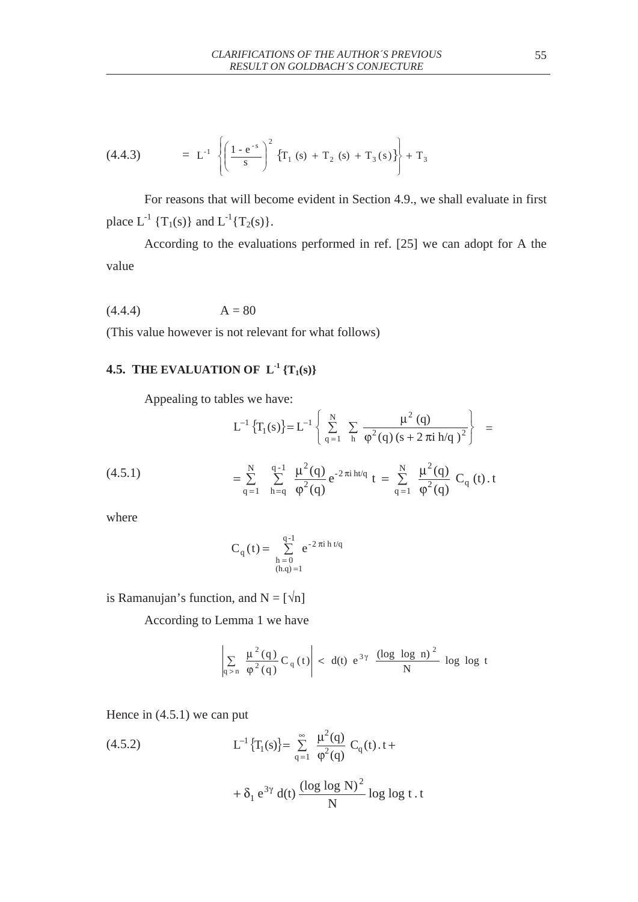(4.4.3) = L<sup>-1</sup> 
$$
\left\{ \left( \frac{1 - e^{-s}}{s} \right)^2 \{ T_1 (s) + T_2 (s) + T_3 (s) \} \right\} + T_3
$$

For reasons that will become evident in Section 4.9., we shall evaluate in first place  $L^{-1} \{T_1(s)\}\$  and  $L^{-1} \{T_2(s)\}.$ 

According to the evaluations performed in ref. [25] we can adopt for A the value

$$
(4.4.4) \qquad \qquad A = 80
$$

(This value however is not relevant for what follows)

## **4.5. THE EVALUATION OF**  $L^{-1} \{T_1(s)\}$

Appealing to tables we have:

(4.5.1) 
$$
L^{-1} \left\{ T_1(s) \right\} = L^{-1} \left\{ \sum_{q=1}^{N} \sum_{h} \frac{\mu^2(q)}{\varphi^2(q) (s + 2 \pi i h/q)^2} \right\} =
$$

$$
= \sum_{q=1}^{N} \sum_{h=q}^{q-1} \frac{\mu^2(q)}{\varphi^2(q)} e^{-2 \pi i h t/q} t = \sum_{q=1}^{N} \frac{\mu^2(q)}{\varphi^2(q)} C_q(t) . t
$$

where

$$
C_q(t) = \sum_{\substack{h=0\\(h,q)=1}}^{q-1} e^{-2\pi i h t/q}
$$

is Ramanujan's function, and  $N = [\sqrt{n}]$ 

According to Lemma 1 we have

$$
\left| \sum_{q > n} \frac{\mu^2(q)}{\phi^2(q)} C_q(t) \right| < d(t) e^{3\gamma} \frac{(\log \log n)^2}{N} \log \log t
$$

Hence in (4.5.1) we can put

(4.5.2) 
$$
L^{-1} \{T_1(s)\} = \sum_{q=1}^{\infty} \frac{\mu^2(q)}{\varphi^2(q)} C_q(t) \cdot t +
$$

$$
+ \delta_1 e^{3\gamma} d(t) \frac{(\log \log N)^2}{N} \log \log t \cdot t
$$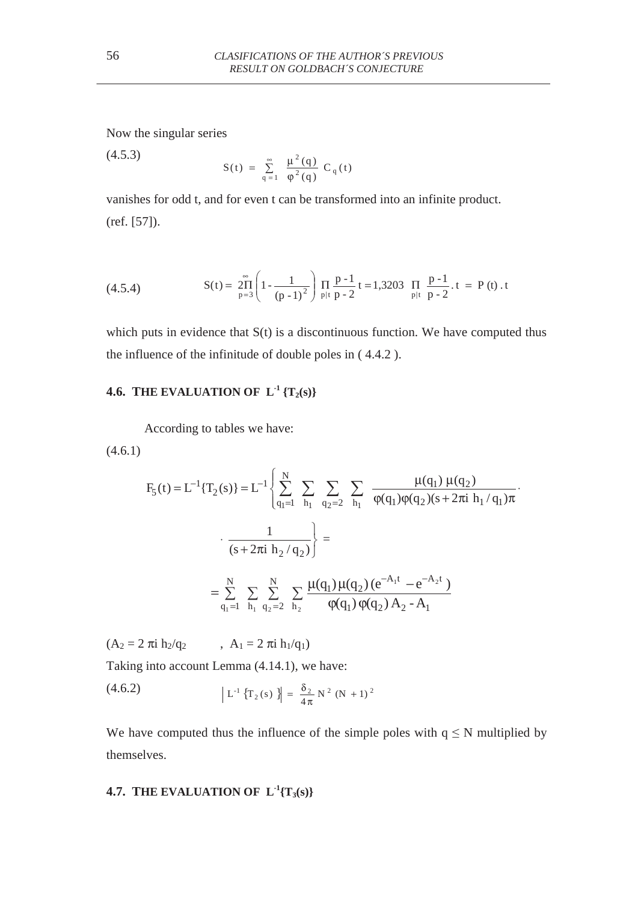Now the singular series

(4.5.3) 
$$
S(t) = \sum_{q=1}^{\infty} \frac{\mu^{2}(q)}{\varphi^{2}(q)} C_{q}(t)
$$

vanishes for odd t, and for even t can be transformed into an infinite product. (ref. [57]).

(4.5.4) 
$$
S(t) = 2\prod_{p=3}^{\infty} \left(1 - \frac{1}{(p-1)^2}\right) \prod_{p|t} \frac{p-1}{p-2} t = 1,3203 \prod_{p|t} \frac{p-1}{p-2} t = P(t) . t
$$

which puts in evidence that  $S(t)$  is a discontinuous function. We have computed thus the influence of the infinitude of double poles in ( 4.4.2 ).

# **4.6. THE EVALUATION OF**  $L^{-1} \{T_2(s)\}$

According to tables we have:

 $(4.6.1)$ 

$$
F_5(t) = L^{-1}\{T_2(s)\} = L^{-1}\left\{\sum_{q_1=1}^{N} \sum_{h_1} \sum_{q_2=2} \sum_{h_1} \frac{\mu(q_1) \mu(q_2)}{\varphi(q_1)\varphi(q_2)(s+2\pi i h_1/q_1)\pi} \cdot \frac{1}{(s+2\pi i h_2/q_2)}\right\} =
$$
  

$$
= \sum_{q_1=1}^{N} \sum_{h_1} \sum_{q_2=2}^{N} \sum_{h_2} \frac{\mu(q_1) \mu(q_2) (e^{-A_1 t} - e^{-A_2 t})}{\varphi(q_1) \varphi(q_2) A_2 - A_1}
$$

 $(A_2 = 2 \pi i h_2/q_2 , A_1 = 2 \pi i h_1/q_1)$ 

Taking into account Lemma (4.14.1), we have:

(4.6.2) 
$$
\left| L^{-1} \left\{ T_2(s) \right\} \right| = \frac{\delta_2}{4\pi} N^2 (N+1)^2
$$

We have computed thus the influence of the simple poles with  $q \le N$  multiplied by themselves.

## **4.7. THE EVALUATION OF**  $L^{-1}{T_3(s)}$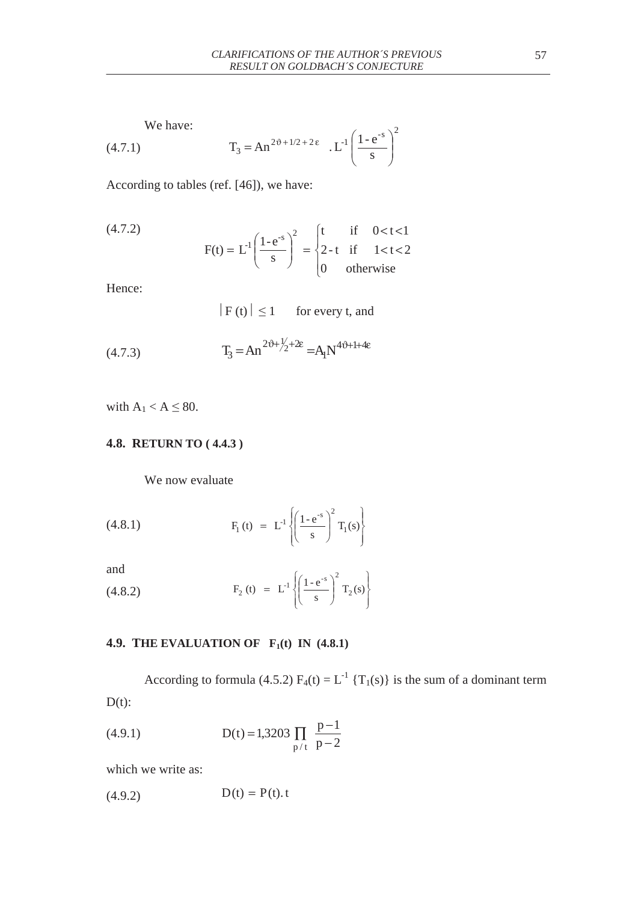We have:  
\n(4.7.1) 
$$
T_3 = An^{2\vartheta + 1/2 + 2\varepsilon} \cdot L^{-1} \left( \frac{1 - e^{-s}}{s} \right)^2
$$

According to tables (ref. [46]), we have:

(4.7.2) 
$$
F(t) = L^{1} \left( \frac{1 - e^{-s}}{s} \right)^{2} = \begin{cases} t & \text{if } 0 < t < 1 \\ 2 - t & \text{if } 1 < t < 2 \\ 0 & \text{otherwise} \end{cases}
$$

Hence:

$$
|F(t)| \le 1
$$
 for every t, and

(4.7.3) 
$$
T_3 = An^{2\vartheta + \frac{1}{2} + 2\varepsilon} = A_1 N^{4\vartheta + 1 + 4\varepsilon}
$$

with  $A_1 < A \leq 80$ .

### **4.8. RETURN TO ( 4.4.3 )**

We now evaluate

(4.8.1) 
$$
F_1(t) = L^1 \left\{ \left( \frac{1 - e^{-s}}{s} \right)^2 T_1(s) \right\}
$$

and

and  
(4.8.2) 
$$
F_2(t) = L^{-1} \left\{ \left( \frac{1 - e^{-s}}{s} \right)^2 T_2(s) \right\}
$$

## **4.9. THE EVALUATION OF**  $F_1(t)$  **IN (4.8.1)**

According to formula (4.5.2)  $F_4(t) = L^{-1} \{T_1(s)\}\$ is the sum of a dominant term  $D(t)$ :

(4.9.1) 
$$
D(t) = 1,3203 \prod_{p/t} \frac{p-1}{p-2}
$$

which we write as:

(4.9.2) 
$$
D(t) = P(t)
$$
. t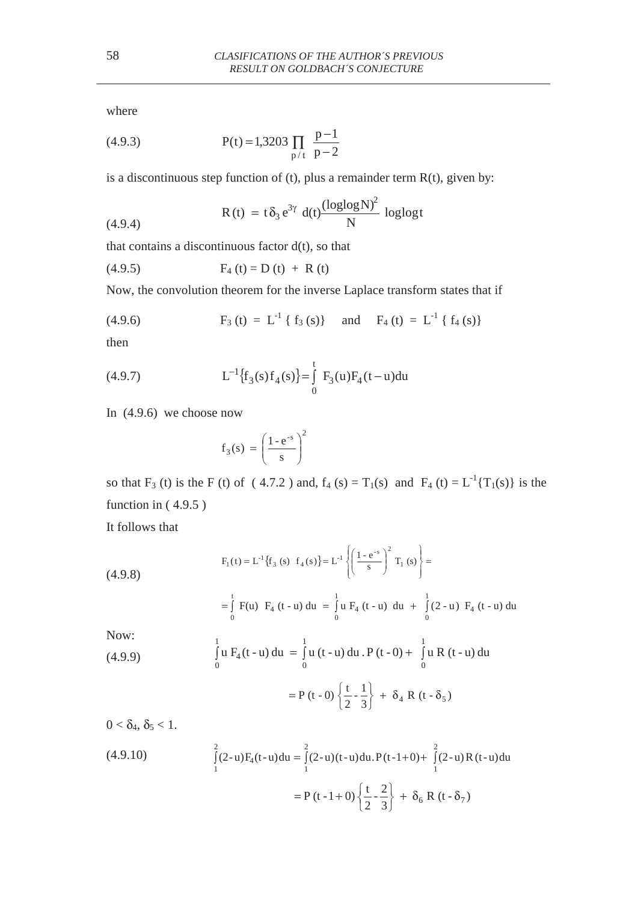where

(4.9.3) 
$$
P(t) = 1,3203 \prod_{p/t} \frac{p-1}{p-2}
$$

is a discontinuous step function of (t), plus a remainder term  $R(t)$ , given by:

(4.9.4) 
$$
R(t) = t \delta_3 e^{3\gamma} d(t) \frac{(\text{loglog} N)^2}{N} \text{ loglog} t
$$

that contains a discontinuous factor  $d(t)$ , so that

$$
(4.9.5) \tF_4(t) = D(t) + R(t)
$$

Now, the convolution theorem for the inverse Laplace transform states that if

(4.9.6) 
$$
F_3(t) = L^{-1} \{ f_3(s) \} \text{ and } F_4(t) = L^{-1} \{ f_4(s) \}
$$

then

(4.9.7) 
$$
L^{-1}\{f_3(s)f_4(s)\} = \int_0^t F_3(u)F_4(t-u)du
$$

In (4.9.6) we choose now

$$
f_3(s) = \left(\frac{1 - e^{-s}}{s}\right)^2
$$

so that F<sub>3</sub> (t) is the F (t) of ( 4.7.2 ) and,  $f_4$  (s) =  $T_1(s)$  and  $F_4$  (t) =  $L^{-1}{T_1(s)}$  is the function in  $(4.9.5)$ 

It follows that

(4.9.8)  
\n
$$
F_1(t) = L^{-1} \{f_3 \text{ (s) } f_4(s)\} = L^{-1} \left\{ \left(\frac{1 - e^{-s}}{s}\right)^2 T_1 \text{ (s)} \right\} =
$$
\n
$$
= \int_0^t F(u) F_4(t - u) du = \int_0^1 u F_4(t - u) du + \int_0^1 (2 - u) F_4(t - u) du
$$

Now:

(4.9.9) 
$$
\int_{0}^{1} u F_{4}(t-u) du = \int_{0}^{1} u (t-u) du P(t-0) + \int_{0}^{1} u R (t-u) du
$$

$$
= P(t - 0) \left\{ \frac{t}{2} - \frac{1}{3} \right\} + \delta_4 R(t - \delta_5)
$$

 $0 < \delta_4$ ,  $\delta_5 < 1$ .

(4.9.10) 
$$
\int_{1}^{2} (2-u) F_4(t-u) du = \int_{1}^{2} (2-u)(t-u) du P(t-1+0) + \int_{1}^{2} (2-u) R(t-u) du
$$

$$
= P(t-1+0) \left\{ \frac{t}{2} - \frac{2}{3} \right\} + \delta_6 R(t-\delta_7)
$$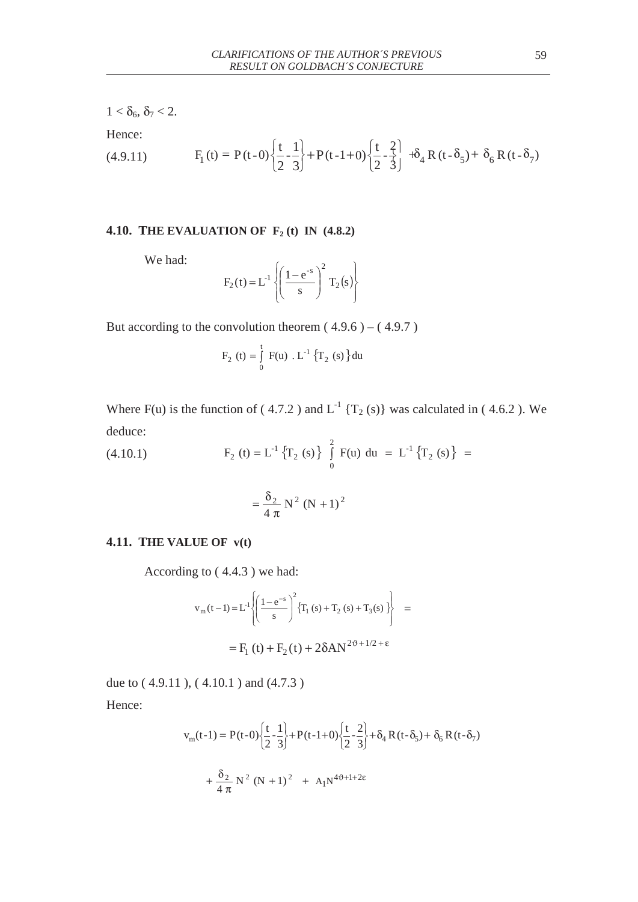$1 < \delta_6, \delta_7 < 2.$ 

Hence:

(4.9.11) 
$$
F_1(t) = P(t-0)\left\{\frac{t}{2} - \frac{1}{3}\right\} + P(t-1+0)\left\{\frac{t}{2} - \frac{2}{3}\right\} + \delta_4 R(t-\delta_5) + \delta_6 R(t-\delta_7)
$$

### **4.10. THE EVALUATION OF**  $F_2(t)$  **IN (4.8.2)**

We had:

$$
F_2(t) = L^{-1} \left\{ \left( \frac{1 - e^{-s}}{s} \right)^2 T_2(s) \right\}
$$

But according to the convolution theorem  $(4.9.6) - (4.9.7)$ 

$$
F_2(t) = \int_0^t F(u) \cdot L^{-1} \{T_2(s)\} du
$$

Where F(u) is the function of (4.7.2) and  $L^{-1}$  {T<sub>2</sub> (s)} was calculated in (4.6.2). We deduce:

(4.10.1) 
$$
F_2(t) = L^{-1} \{T_2(s)\} \int_0^2 F(u) \, du = L^{-1} \{T_2(s)\} =
$$

$$
= \frac{\delta_2}{4 \pi} N^2 (N+1)^2
$$

### **4.11. THE VALUE OF v(t)**

According to ( 4.4.3 ) we had:

$$
v_{m}(t-1) = L^{1}\left\{ \left( \frac{1 - e^{-s}}{s} \right)^{2} \{T_{1}(s) + T_{2}(s) + T_{3}(s) \} \right\} =
$$
  
=  $F_{1}(t) + F_{2}(t) + 2\delta A N^{2\vartheta + 1/2 + \epsilon}$ 

due to ( 4.9.11 ), ( 4.10.1 ) and (4.7.3 )

Hence:

$$
v_{m}(t-1) = P(t-0)\left\{\frac{t}{2} - \frac{1}{3}\right\} + P(t-1+0)\left\{\frac{t}{2} - \frac{2}{3}\right\} + \delta_{4} R(t-\delta_{5}) + \delta_{6} R(t-\delta_{7})
$$

$$
+ \frac{\delta_{2}}{4\pi} N^{2} (N+1)^{2} + A_{1} N^{4\vartheta+1+2\epsilon}
$$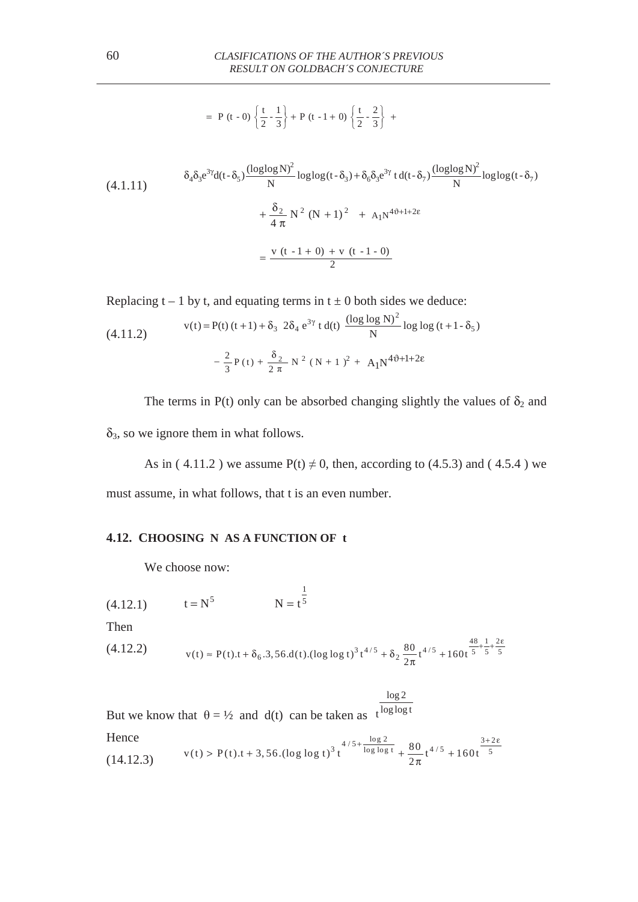$$
= P (t - 0) \left\{ \frac{t}{2} - \frac{1}{3} \right\} + P (t - 1 + 0) \left\{ \frac{t}{2} - \frac{2}{3} \right\} +
$$

$$
(4.1.11)
$$
\n
$$
\delta_{4}\delta_{3}e^{3\gamma}d(t-\delta_{5})\frac{(\log\log N)^{2}}{N}\log\log(t-\delta_{3})+\delta_{6}\delta_{3}e^{3\gamma}t d(t-\delta_{7})\frac{(\log\log N)^{2}}{N}\log\log(t-\delta_{7})
$$
\n
$$
+\frac{\delta_{2}}{4\pi}N^{2}(N+1)^{2} + A_{1}N^{4\vartheta+1+2\epsilon}
$$
\n
$$
=\frac{v(t-1+0)+v(t-1-0)}{2}
$$

Replacing  $t - 1$  by t, and equating terms in  $t \pm 0$  both sides we deduce:

(4.11.2) 
$$
v(t) = P(t) (t+1) + \delta_3 2\delta_4 e^{3\gamma} t d(t) \frac{(\log \log N)^2}{N} \log \log (t+1-\delta_5)
$$

$$
- \frac{2}{3} P(t) + \frac{\delta_2}{2 \pi} N^2 (N+1)^2 + A_1 N^{4\vartheta + 1+2\epsilon}
$$

The terms in P(t) only can be absorbed changing slightly the values of  $\delta_2$  and  $\delta_3$ , so we ignore them in what follows.

As in (4.11.2) we assume  $P(t) \neq 0$ , then, according to (4.5.3) and (4.5.4) we must assume, in what follows, that t is an even number.

## **4.12. CHOOSING N AS A FUNCTION OF t**

We choose now:

(4.12.1) 
$$
t = N^5
$$
  $N = t^{\frac{1}{5}}$ 

Then

$$
(4.12.2) \t v(t) \approx P(t)t + \delta_6.3,56.d(t).(\log \log t)^3 t^{4/5} + \delta_2 \frac{80}{2\pi} t^{4/5} + 160t^{\frac{48}{5} + \frac{1}{5} + \frac{2\epsilon}{5}}
$$

$$
\frac{\log 2}{\log \log t}
$$

But we know that  $\theta = \frac{1}{2}$  and d(t) can be taken as  $t^{\log \log t}$ 

Hence  
(14.12.3) 
$$
v(t) > P(t)t + 3,56.(\log \log t)^3 t^{4/5 + \frac{\log 2}{\log \log t}} + \frac{80}{2\pi} t^{4/5} + 160t^{\frac{3+2\epsilon}{5}}
$$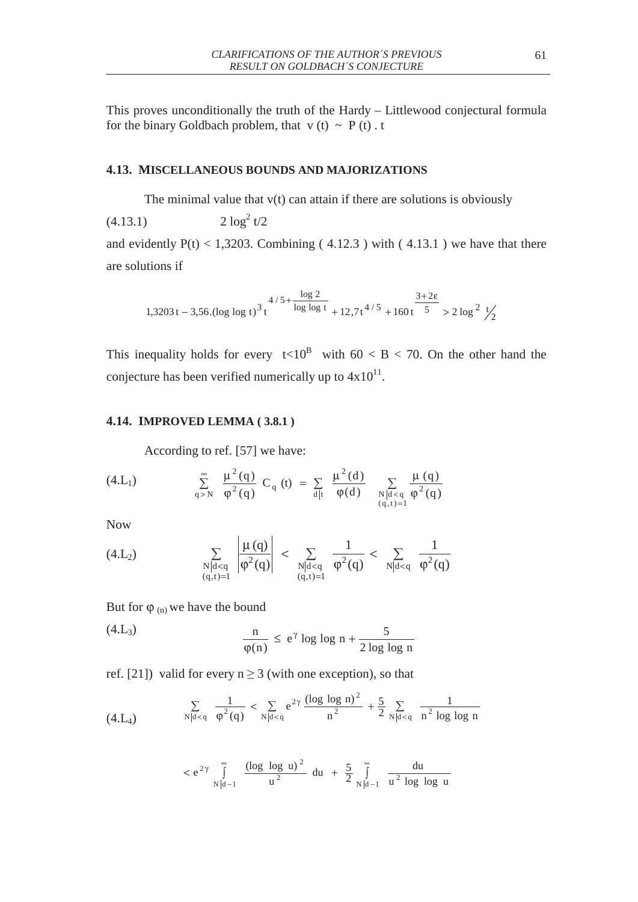This proves unconditionally the truth of the Hardy – Littlewood conjectural formula for the binary Goldbach problem, that  $v(t) \sim P(t)$ .

### **4.13. MISCELLANEOUS BOUNDS AND MAJORIZATIONS**

The minimal value that  $v(t)$  can attain if there are solutions is obviously

 $(4.13.1)$  $2 \log^2 t/2$ 

and evidently  $P(t) < 1,3203$ . Combining (4.12.3) with (4.13.1) we have that there are solutions if

$$
1,3203 \, t - 3,56 \, (\log \log t)^3 \, t + \frac{\log 2}{\log \log t} + 12,7t^{4/5} + 160 \, t^{\frac{3+2\epsilon}{5}} > 2 \log^2 \frac{1}{2}
$$

This inequality holds for every  $t<10^B$  with  $60 < B < 70$ . On the other hand the conjecture has been verified numerically up to  $4x10^{11}$ .

#### **4.14. IMPROVED LEMMA ( 3.8.1 )**

According to ref. [57] we have:

 $\mathbf{r}$ 

(4.L<sub>1</sub>) 
$$
\sum_{q>N}^{\infty} \frac{\mu^{2}(q)}{\varphi^{2}(q)} C_{q}(t) = \sum_{d|t} \frac{\mu^{2}(d)}{\varphi(d)} \sum_{\substack{N|d < q \ (q,t)=1}} \frac{\mu(q)}{\varphi^{2}(q)}
$$

Now

$$
(4.L_2) \qquad \qquad \sum_{\substack{N \mid d < q \\ (q,t)=1}} \;\; \left| \frac{\mu\left(q\right)}{\phi^2\left(q\right)} \right| \; < \; \sum_{\substack{N \mid d < q \\ (q,t)=1}} \;\; \frac{1}{\phi^2\left(q\right)} \; < \; \sum_{N \mid d < q} \;\; \frac{1}{\phi^2\left(q\right)}
$$

 $\mathbf{r}$ 

But for  $\varphi$  (n) we have the bound

(4.L<sub>3</sub>) 
$$
\frac{n}{\phi(n)} \le e^{\gamma} \log \log n + \frac{5}{2 \log \log n}
$$

ref. [21]) valid for every  $n \ge 3$  (with one exception), so that

$$
(4.L_4) \qquad \qquad \sum_{N|d < q} \frac{1}{\phi^2(q)} < \sum_{N|d < q} e^{2\gamma} \frac{(\log\log n)^2}{n^2} + \frac{5}{2} \sum_{N|d < q} \frac{1}{n^2 \log\log n}
$$

$$
< e^{2\gamma} \int_{N|d-1}^{\infty} \frac{(\log \log u)^2}{u^2} du + \frac{5}{2} \int_{N|d-1}^{\infty} \frac{du}{u^2 \log \log u}
$$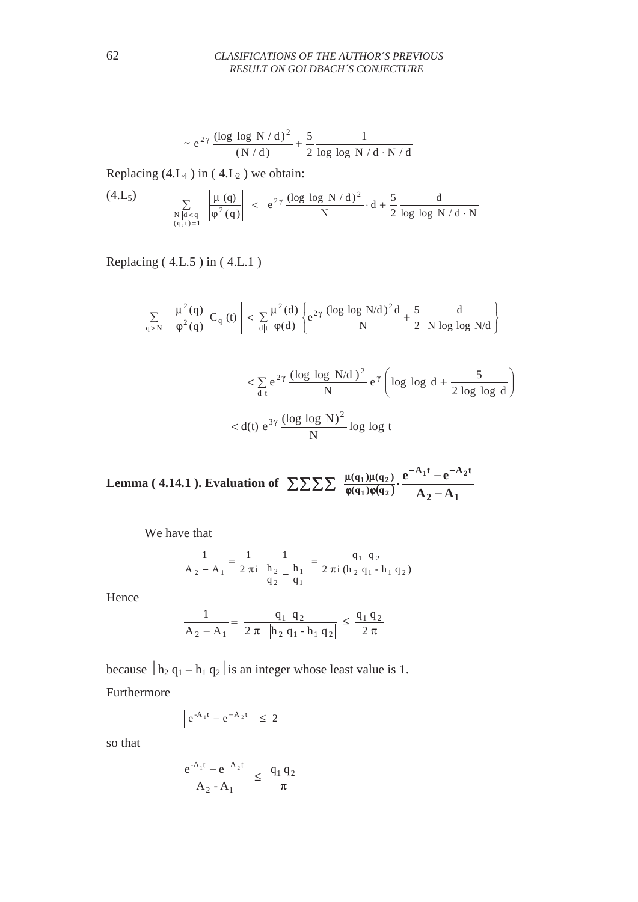$$
\sim e^{2\gamma} \frac{(\log \log N / d)^2}{(N / d)} + \frac{5}{2} \frac{1}{\log \log N / d \cdot N / d}
$$

Replacing  $(4.L<sub>4</sub>)$  in  $(4.L<sub>2</sub>)$  we obtain:

(4.L<sub>5</sub>) 
$$
\sum_{\substack{N \mid d < q \\ (q, t) = 1}} \left| \frac{\mu(q)}{\phi^2(q)} \right| < e^{2\gamma} \frac{(\log \log N / d)^2}{N} \cdot d + \frac{5}{2} \frac{d}{\log \log N / d \cdot N}
$$

Replacing ( 4.L.5 ) in ( 4.L.1 )

$$
\sum_{q > N} \ \left| \frac{\mu^2(q)}{\phi^2(q)} \ C_q \ (t) \ \right| < \ \sum_{d \mid t} \frac{\mu^2(d)}{\phi(d)} \left\{ e^{2\gamma} \frac{(\log\log\,N/d\,)^2 d}{N} + \frac{5}{2} \ \frac{d}{N \log\log\,N/d} \right\}
$$

$$
< \sum_{d|t} e^{2\gamma} \frac{(\log \log N/d)^2}{N} e^{\gamma} \left( \log \log d + \frac{5}{2 \log \log d} \right)
$$
  

$$
< d(t) e^{3\gamma} \frac{(\log \log N)^2}{N} \log \log t
$$

**Lemma** (4.14.1). Evaluation of  $\sum \sum \sum \frac{\mu(q_1)\mu(q_2)}{\phi(q_1)\phi(q_2)} \cdot \frac{C}{A_2-A_1}$  $A_1 t \quad -A_2 t$  $(q_1)$  $q(q)$  $(q_1) \mu(q_2)$  $A_2 - A$  $e^{-A_1t} - e^{-A_2t}$ **1 2**  $1$   $\mu$   $\left($   $\frac{1}{2}$ −  $\cdot \frac{e^{-A_1t}-e^{-}}{1}$  $\sum \sum \sum \frac{\mu(q_1)\mu}{\varphi(q_1)\varphi}$ 

We have that

$$
\frac{1}{A_2 - A_1} = \frac{1}{2 \pi i} \frac{1}{\frac{h_2}{q_2} - \frac{h_1}{q_1}} = \frac{q_1 q_2}{2 \pi i (h_2 q_1 - h_1 q_2)}
$$

Hence

$$
\frac{1}{A_2 - A_1} = \frac{q_1 q_2}{2 \pi |h_2 q_1 - h_1 q_2|} \le \frac{q_1 q_2}{2 \pi}
$$

because  $|h_2 q_1 - h_1 q_2|$  is an integer whose least value is 1. Furthermore

$$
\left| e^{-A_1 t} - e^{-A_2 t} \right| \leq 2
$$

so that

$$
\frac{e^{-A_1t}-e^{-A_2t}}{A_2-A_1} \leq \frac{q_1 q_2}{\pi}
$$